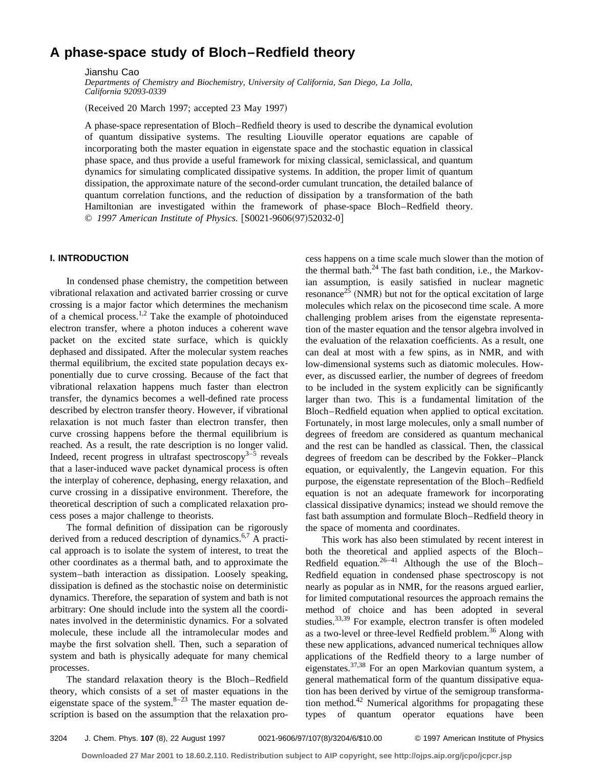# **A phase-space study of Bloch–Redfield theory**

Jianshu Cao

*Departments of Chemistry and Biochemistry, University of California, San Diego, La Jolla, California 92093-0339*

(Received 20 March 1997; accepted 23 May 1997)

A phase-space representation of Bloch–Redfield theory is used to describe the dynamical evolution of quantum dissipative systems. The resulting Liouville operator equations are capable of incorporating both the master equation in eigenstate space and the stochastic equation in classical phase space, and thus provide a useful framework for mixing classical, semiclassical, and quantum dynamics for simulating complicated dissipative systems. In addition, the proper limit of quantum dissipation, the approximate nature of the second-order cumulant truncation, the detailed balance of quantum correlation functions, and the reduction of dissipation by a transformation of the bath Hamiltonian are investigated within the framework of phase-space Bloch–Redfield theory. © 1997 American Institute of Physics. [S0021-9606(97)52032-0]

# **I. INTRODUCTION**

In condensed phase chemistry, the competition between vibrational relaxation and activated barrier crossing or curve crossing is a major factor which determines the mechanism of a chemical process.<sup>1,2</sup> Take the example of photoinduced electron transfer, where a photon induces a coherent wave packet on the excited state surface, which is quickly dephased and dissipated. After the molecular system reaches thermal equilibrium, the excited state population decays exponentially due to curve crossing. Because of the fact that vibrational relaxation happens much faster than electron transfer, the dynamics becomes a well-defined rate process described by electron transfer theory. However, if vibrational relaxation is not much faster than electron transfer, then curve crossing happens before the thermal equilibrium is reached. As a result, the rate description is no longer valid. Indeed, recent progress in ultrafast spectroscopy<sup>3–5</sup> reveals that a laser-induced wave packet dynamical process is often the interplay of coherence, dephasing, energy relaxation, and curve crossing in a dissipative environment. Therefore, the theoretical description of such a complicated relaxation process poses a major challenge to theorists.

The formal definition of dissipation can be rigorously derived from a reduced description of dynamics.<sup>6,7</sup> A practical approach is to isolate the system of interest, to treat the other coordinates as a thermal bath, and to approximate the system–bath interaction as dissipation. Loosely speaking, dissipation is defined as the stochastic noise on deterministic dynamics. Therefore, the separation of system and bath is not arbitrary: One should include into the system all the coordinates involved in the deterministic dynamics. For a solvated molecule, these include all the intramolecular modes and maybe the first solvation shell. Then, such a separation of system and bath is physically adequate for many chemical processes.

The standard relaxation theory is the Bloch–Redfield theory, which consists of a set of master equations in the eigenstate space of the system. $8-23$  The master equation description is based on the assumption that the relaxation process happens on a time scale much slower than the motion of the thermal bath. $^{24}$  The fast bath condition, i.e., the Markovian assumption, is easily satisfied in nuclear magnetic resonance<sup>25</sup> (NMR) but not for the optical excitation of large molecules which relax on the picosecond time scale. A more challenging problem arises from the eigenstate representation of the master equation and the tensor algebra involved in the evaluation of the relaxation coefficients. As a result, one can deal at most with a few spins, as in NMR, and with low-dimensional systems such as diatomic molecules. However, as discussed earlier, the number of degrees of freedom to be included in the system explicitly can be significantly larger than two. This is a fundamental limitation of the Bloch–Redfield equation when applied to optical excitation. Fortunately, in most large molecules, only a small number of degrees of freedom are considered as quantum mechanical and the rest can be handled as classical. Then, the classical degrees of freedom can be described by the Fokker–Planck equation, or equivalently, the Langevin equation. For this purpose, the eigenstate representation of the Bloch–Redfield equation is not an adequate framework for incorporating classical dissipative dynamics; instead we should remove the fast bath assumption and formulate Bloch–Redfield theory in the space of momenta and coordinates.

This work has also been stimulated by recent interest in both the theoretical and applied aspects of the Bloch– Redfield equation.<sup>26-41</sup> Although the use of the Bloch– Redfield equation in condensed phase spectroscopy is not nearly as popular as in NMR, for the reasons argued earlier, for limited computational resources the approach remains the method of choice and has been adopted in several studies.<sup>33,39</sup> For example, electron transfer is often modeled as a two-level or three-level Redfield problem.<sup>36</sup> Along with these new applications, advanced numerical techniques allow applications of the Redfield theory to a large number of eigenstates.37,38 For an open Markovian quantum system, a general mathematical form of the quantum dissipative equation has been derived by virtue of the semigroup transformation method.<sup>42</sup> Numerical algorithms for propagating these types of quantum operator equations have been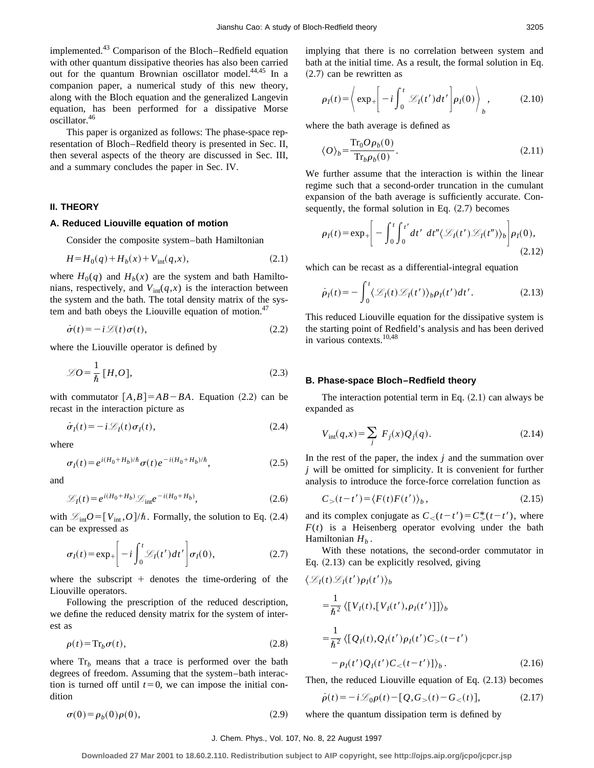implemented.<sup>43</sup> Comparison of the Bloch–Redfield equation with other quantum dissipative theories has also been carried out for the quantum Brownian oscillator model.<sup>44,45</sup> In a companion paper, a numerical study of this new theory, along with the Bloch equation and the generalized Langevin equation, has been performed for a dissipative Morse oscillator.46

This paper is organized as follows: The phase-space representation of Bloch–Redfield theory is presented in Sec. II, then several aspects of the theory are discussed in Sec. III, and a summary concludes the paper in Sec. IV.

# **II. THEORY**

# **A. Reduced Liouville equation of motion**

Consider the composite system–bath Hamiltonian

$$
H = H_0(q) + H_b(x) + V_{\text{int}}(q, x), \tag{2.1}
$$

where  $H_0(q)$  and  $H_b(x)$  are the system and bath Hamiltonians, respectively, and  $V_{int}(q, x)$  is the interaction between the system and the bath. The total density matrix of the system and bath obeys the Liouville equation of motion.<sup>47</sup>

$$
\dot{\sigma}(t) = -i\mathcal{L}(t)\sigma(t),\tag{2.2}
$$

where the Liouville operator is defined by

$$
\mathcal{L}O = \frac{1}{\hbar} [H, O], \qquad (2.3)
$$

with commutator  $[A,B] = AB - BA$ . Equation (2.2) can be recast in the interaction picture as

$$
\dot{\sigma}_I(t) = -i \mathcal{L}_I(t) \sigma_I(t), \qquad (2.4)
$$

where

$$
\sigma_I(t) = e^{i(H_0 + H_b)/\hbar} \sigma(t) e^{-i(H_0 + H_b)/\hbar}, \qquad (2.5)
$$

and

$$
\mathcal{L}_I(t) = e^{i(H_0 + H_b)} \mathcal{L}_{\text{int}} e^{-i(H_0 + H_b)}, \qquad (2.6)
$$

with  $\mathcal{L}_{int}O = [V_{int}, O]/\hbar$ . Formally, the solution to Eq. (2.4) can be expressed as

$$
\sigma_I(t) = \exp_+\left[ -i \int_0^t \mathcal{L}_I(t') dt' \right] \sigma_I(0), \tag{2.7}
$$

where the subscript  $+$  denotes the time-ordering of the Liouville operators.

Following the prescription of the reduced description, we define the reduced density matrix for the system of interest as

$$
\rho(t) = \mathrm{Tr}_b \sigma(t),\tag{2.8}
$$

where  $Tr_b$  means that a trace is performed over the bath degrees of freedom. Assuming that the system–bath interaction is turned off until  $t=0$ , we can impose the initial condition

 $\sigma(0) = \rho_b(0)\rho(0),$  (2.9)

implying that there is no correlation between system and bath at the initial time. As a result, the formal solution in Eq.  $(2.7)$  can be rewritten as

$$
\rho_I(t) = \left\langle \exp_+\left[ -i \int_0^t \mathcal{L}_I(t') dt' \right] \rho_I(0) \right\rangle_b, \qquad (2.10)
$$

where the bath average is defined as

$$
\langle O \rangle_b = \frac{\text{Tr}_0 O \rho_b(0)}{\text{Tr}_b \rho_b(0)}.
$$
\n(2.11)

We further assume that the interaction is within the linear regime such that a second-order truncation in the cumulant expansion of the bath average is sufficiently accurate. Consequently, the formal solution in Eq.  $(2.7)$  becomes

$$
\rho_I(t) = \exp_+\left[ -\int_0^t \int_0^{t'} dt' dt'' \langle \mathcal{L}_I(t') \mathcal{L}_I(t'') \rangle_b \right] \rho_I(0),
$$
\n(2.12)

which can be recast as a differential-integral equation

$$
\dot{\rho}_I(t) = -\int_0^t \langle \mathcal{L}_I(t) \mathcal{L}_I(t') \rangle_b \rho_I(t') dt'.
$$
 (2.13)

This reduced Liouville equation for the dissipative system is the starting point of Redfield's analysis and has been derived in various contexts.10,48

#### **B. Phase-space Bloch–Redfield theory**

The interaction potential term in Eq.  $(2.1)$  can always be expanded as

$$
V_{\text{int}}(q,x) = \sum_{j} F_{j}(x) Q_{j}(q). \qquad (2.14)
$$

In the rest of the paper, the index  $j$  and the summation over *j* will be omitted for simplicity. It is convenient for further analysis to introduce the force-force correlation function as

$$
C_{>}(t-t') = \langle F(t)F(t')\rangle_{b},\qquad(2.15)
$$

and its complex conjugate as  $C_<(t-t') = C^*_{>(t-t')}$ , where  $F(t)$  is a Heisenberg operator evolving under the bath Hamiltonian  $H_h$ .

With these notations, the second-order commutator in Eq.  $(2.13)$  can be explicitly resolved, giving

$$
\langle \mathcal{L}_I(t) \mathcal{L}_I(t') \rho_I(t') \rangle_b
$$
  
\n
$$
= \frac{1}{\hbar^2} \langle [V_I(t), [V_I(t'), \rho_I(t')] ] \rangle_b
$$
  
\n
$$
= \frac{1}{\hbar^2} \langle [Q_I(t), Q_I(t') \rho_I(t') C_>(t-t') - \rho_I(t') Q_I(t') C_<(t-t') ] \rangle_b.
$$
 (2.16)

Then, the reduced Liouville equation of Eq.  $(2.13)$  becomes

$$
\dot{\rho}(t) = -i\mathcal{L}_0 \rho(t) - [Q, G_>(t) - G_<(t)],\tag{2.17}
$$

where the quantum dissipation term is defined by

#### J. Chem. Phys., Vol. 107, No. 8, 22 August 1997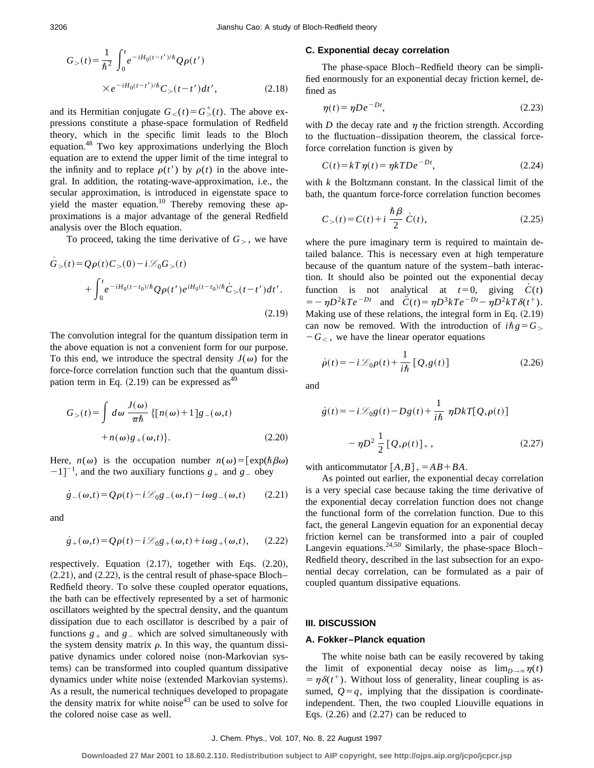$$
G_{>}(t) = \frac{1}{\hbar^2} \int_0^t e^{-iH_0(t-t')/\hbar} Q\rho(t')
$$
  
×  $e^{-iH_0(t-t')/\hbar} C_{>}(t-t')dt'$ , (2.18)

and its Hermitian conjugate  $G_<(t) = G^+_{>(t)}$ . The above expressions constitute a phase-space formulation of Redfield theory, which in the specific limit leads to the Bloch equation.48 Two key approximations underlying the Bloch equation are to extend the upper limit of the time integral to the infinity and to replace  $\rho(t')$  by  $\rho(t)$  in the above integral. In addition, the rotating-wave-approximation, i.e., the secular approximation, is introduced in eigenstate space to yield the master equation.<sup>10</sup> Thereby removing these approximations is a major advantage of the general Redfield analysis over the Bloch equation.

To proceed, taking the time derivative of  $G<sub>></sub>$ , we have

$$
\dot{G}_{>}(t) = Q\rho(t)C_{>}(0) - i\mathcal{L}_{0}G_{>}(t) + \int_{0}^{t} e^{-iH_{0}(t-t_{0})/\hbar} Q\rho(t')e^{iH_{0}(t-t_{0})/\hbar} \dot{C}_{>}(t-t')dt'.
$$
\n(2.19)

The convolution integral for the quantum dissipation term in the above equation is not a convenient form for our purpose. To this end, we introduce the spectral density  $J(\omega)$  for the force-force correlation function such that the quantum dissipation term in Eq.  $(2.19)$  can be expressed as<sup>49</sup>

$$
G_{>}(t) = \int d\omega \frac{J(\omega)}{\pi \hbar} \{ [n(\omega) + 1] g_{-}(\omega, t) + n(\omega) g_{+}(\omega, t) \}.
$$
 (2.20)

Here,  $n(\omega)$  is the occupation number  $n(\omega) = [\exp(\hbar \beta \omega)]$  $[-1]$ <sup>-1</sup>, and the two auxiliary functions  $g_+$  and  $g_-$  obey

$$
\dot{g}_{-}(\omega,t) = Q\rho(t) - i\mathcal{L}_0 g_{-}(\omega,t) - i\omega g_{-}(\omega,t) \qquad (2.21)
$$

and

$$
\dot{g}_{+}(\omega,t) = Q\rho(t) - i\mathcal{L}_0 g_{+}(\omega,t) + i\omega g_{+}(\omega,t), \quad (2.22)
$$

respectively. Equation  $(2.17)$ , together with Eqs.  $(2.20)$ ,  $(2.21)$ , and  $(2.22)$ , is the central result of phase-space Bloch– Redfield theory. To solve these coupled operator equations, the bath can be effectively represented by a set of harmonic oscillators weighted by the spectral density, and the quantum dissipation due to each oscillator is described by a pair of functions  $g_+$  and  $g_-$  which are solved simultaneously with the system density matrix  $\rho$ . In this way, the quantum dissipative dynamics under colored noise (non-Markovian systems) can be transformed into coupled quantum dissipative dynamics under white noise (extended Markovian systems). As a result, the numerical techniques developed to propagate the density matrix for white noise<sup>43</sup> can be used to solve for the colored noise case as well.

#### **C. Exponential decay correlation**

The phase-space Bloch–Redfield theory can be simplified enormously for an exponential decay friction kernel, defined as

$$
\eta(t) = \eta D e^{-Dt},\tag{2.23}
$$

with *D* the decay rate and  $\eta$  the friction strength. According to the fluctuation–dissipation theorem, the classical forceforce correlation function is given by

$$
C(t) = kT\eta(t) = \eta kTDe^{-Dt},\qquad(2.24)
$$

with *k* the Boltzmann constant. In the classical limit of the bath, the quantum force-force correlation function becomes

$$
C_{>}(t) = C(t) + i \frac{\hbar \beta}{2} \dot{C}(t),
$$
\n(2.25)

where the pure imaginary term is required to maintain detailed balance. This is necessary even at high temperature because of the quantum nature of the system–bath interaction. It should also be pointed out the exponential decay function is not analytical at  $t=0$ , giving  $C(t)$  $\ddot{C}(t) = \eta D^3 k T e^{-Dt}$  and  $\ddot{C}(t) = \eta D^3 k T e^{-Dt} - \eta D^2 k T \delta(t^+).$ Making use of these relations, the integral form in Eq.  $(2.19)$ can now be removed. With the introduction of  $i\hbar g = G_{>}$  $-G<sub>2</sub>$ , we have the linear operator equations

$$
\dot{\rho}(t) = -i\mathcal{L}_0 \rho(t) + \frac{1}{i\hbar} \left[ Q, g(t) \right]
$$
\n(2.26)

and

$$
\dot{g}(t) = -i\mathcal{L}_0 g(t) - Dg(t) + \frac{1}{i\hbar} \eta DkT[Q, \rho(t)]
$$

$$
- \eta D^2 \frac{1}{2} [Q, \rho(t)]_+, \qquad (2.27)
$$

with anticommutator  $[A,B]_+ = AB + BA$ .

As pointed out earlier, the exponential decay correlation is a very special case because taking the time derivative of the exponential decay correlation function does not change the functional form of the correlation function. Due to this fact, the general Langevin equation for an exponential decay friction kernel can be transformed into a pair of coupled Langevin equations. $24,50$  Similarly, the phase-space Bloch– Redfield theory, described in the last subsection for an exponential decay correlation, can be formulated as a pair of coupled quantum dissipative equations.

#### **III. DISCUSSION**

#### **A. Fokker–Planck equation**

The white noise bath can be easily recovered by taking the limit of exponential decay noise as  $\lim_{D\to\infty} \eta(t)$  $= \eta \delta(t^+)$ . Without loss of generality, linear coupling is assumed,  $Q = q$ , implying that the dissipation is coordinateindependent. Then, the two coupled Liouville equations in Eqs.  $(2.26)$  and  $(2.27)$  can be reduced to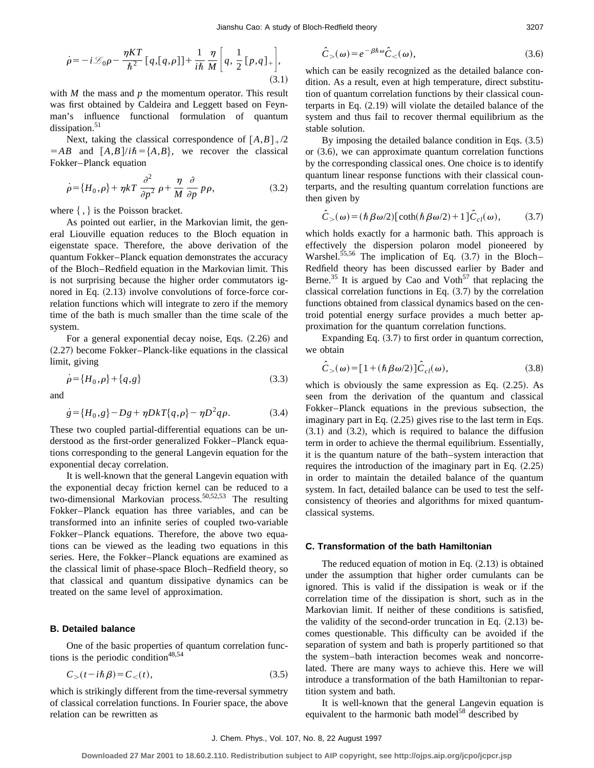$$
\dot{\rho} = -i\mathcal{L}_0 \rho - \frac{\eta KT}{\hbar^2} [q,[q,\rho]] + \frac{1}{i\hbar} \frac{\eta}{M} \bigg[ q, \frac{1}{2} [p,q]_+ \bigg],
$$
\n(3.1)

with *M* the mass and *p* the momentum operator. This result was first obtained by Caldeira and Leggett based on Feynman's influence functional formulation of quantum dissipation. $51$ 

Next, taking the classical correspondence of  $[A,B]_{+}/2$  $= AB$  and  $[A, B]/i\hbar = \{A, B\}$ , we recover the classical Fokker–Planck equation

$$
\dot{\rho} = \{H_0, \rho\} + \eta kT \frac{\partial^2}{\partial p^2} \rho + \frac{\eta}{M} \frac{\partial}{\partial p} p \rho,\tag{3.2}
$$

where  $\{ , \}$  is the Poisson bracket.

As pointed out earlier, in the Markovian limit, the general Liouville equation reduces to the Bloch equation in eigenstate space. Therefore, the above derivation of the quantum Fokker–Planck equation demonstrates the accuracy of the Bloch–Redfield equation in the Markovian limit. This is not surprising because the higher order commutators ignored in Eq.  $(2.13)$  involve convolutions of force-force correlation functions which will integrate to zero if the memory time of the bath is much smaller than the time scale of the system.

For a general exponential decay noise, Eqs.  $(2.26)$  and  $(2.27)$  become Fokker–Planck-like equations in the classical limit, giving

$$
\dot{\rho} = \{H_0, \rho\} + \{q, g\} \tag{3.3}
$$

and

$$
\dot{g} = \{H_0, g\} - Dg + \eta DkT\{q, \rho\} - \eta D^2 q \rho. \tag{3.4}
$$

These two coupled partial-differential equations can be understood as the first-order generalized Fokker–Planck equations corresponding to the general Langevin equation for the exponential decay correlation.

It is well-known that the general Langevin equation with the exponential decay friction kernel can be reduced to a two-dimensional Markovian process.<sup>50,52,53</sup> The resulting Fokker–Planck equation has three variables, and can be transformed into an infinite series of coupled two-variable Fokker–Planck equations. Therefore, the above two equations can be viewed as the leading two equations in this series. Here, the Fokker–Planck equations are examined as the classical limit of phase-space Bloch–Redfield theory, so that classical and quantum dissipative dynamics can be treated on the same level of approximation.

# **B. Detailed balance**

One of the basic properties of quantum correlation functions is the periodic condition $48,54$ 

$$
C_{>}(t - i\hbar \beta) = C_{<}(t), \qquad (3.5)
$$

which is strikingly different from the time-reversal symmetry of classical correlation functions. In Fourier space, the above relation can be rewritten as

$$
\hat{C}_{>}(\omega) = e^{-\beta \hbar \omega} \hat{C}_{<}(\omega), \tag{3.6}
$$

which can be easily recognized as the detailed balance condition. As a result, even at high temperature, direct substitution of quantum correlation functions by their classical counterparts in Eq.  $(2.19)$  will violate the detailed balance of the system and thus fail to recover thermal equilibrium as the stable solution.

By imposing the detailed balance condition in Eqs.  $(3.5)$ or  $(3.6)$ , we can approximate quantum correlation functions by the corresponding classical ones. One choice is to identify quantum linear response functions with their classical counterparts, and the resulting quantum correlation functions are then given by

$$
\hat{C}_{>}(\omega) = (\hbar \beta \omega/2) [\coth(\hbar \beta \omega/2) + 1] \hat{C}_{cl}(\omega), \quad (3.7)
$$

which holds exactly for a harmonic bath. This approach is effectively the dispersion polaron model pioneered by Warshel.<sup>55,56</sup> The implication of Eq.  $(3.7)$  in the Bloch– Redfield theory has been discussed earlier by Bader and Berne.<sup>35</sup> It is argued by Cao and Voth<sup>57</sup> that replacing the classical correlation functions in Eq.  $(3.7)$  by the correlation functions obtained from classical dynamics based on the centroid potential energy surface provides a much better approximation for the quantum correlation functions.

Expanding Eq.  $(3.7)$  to first order in quantum correction, we obtain

$$
\hat{C}_{>}(\omega) = [1 + (\hbar \beta \omega/2)] \hat{C}_{cl}(\omega), \qquad (3.8)
$$

which is obviously the same expression as Eq.  $(2.25)$ . As seen from the derivation of the quantum and classical Fokker–Planck equations in the previous subsection, the imaginary part in Eq.  $(2.25)$  gives rise to the last term in Eqs.  $(3.1)$  and  $(3.2)$ , which is required to balance the diffusion term in order to achieve the thermal equilibrium. Essentially, it is the quantum nature of the bath–system interaction that requires the introduction of the imaginary part in Eq.  $(2.25)$ in order to maintain the detailed balance of the quantum system. In fact, detailed balance can be used to test the selfconsistency of theories and algorithms for mixed quantumclassical systems.

#### **C. Transformation of the bath Hamiltonian**

The reduced equation of motion in Eq.  $(2.13)$  is obtained under the assumption that higher order cumulants can be ignored. This is valid if the dissipation is weak or if the correlation time of the dissipation is short, such as in the Markovian limit. If neither of these conditions is satisfied, the validity of the second-order truncation in Eq.  $(2.13)$  becomes questionable. This difficulty can be avoided if the separation of system and bath is properly partitioned so that the system–bath interaction becomes weak and noncorrelated. There are many ways to achieve this. Here we will introduce a transformation of the bath Hamiltonian to repartition system and bath.

It is well-known that the general Langevin equation is equivalent to the harmonic bath model<sup>58</sup> described by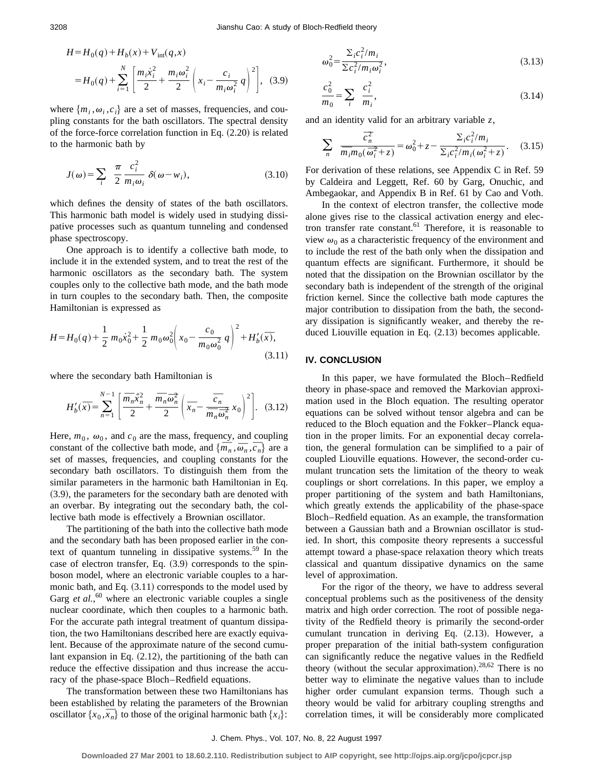$$
H = H_0(q) + H_b(x) + V_{int}(q, x)
$$
  
=  $H_0(q) + \sum_{i=1}^{N} \left[ \frac{m_i \dot{x}_i^2}{2} + \frac{m_i \omega_i^2}{2} \left( x_i - \frac{c_i}{m_i \omega_i^2} q \right)^2 \right],$  (3.9)

where  $\{m_i, \omega_i, c_i\}$  are a set of masses, frequencies, and coupling constants for the bath oscillators. The spectral density of the force-force correlation function in Eq.  $(2.20)$  is related to the harmonic bath by

$$
J(\omega) = \sum_{i} \frac{\pi}{2} \frac{c_i^2}{m_i \omega_i} \delta(\omega - w_i),
$$
 (3.10)

which defines the density of states of the bath oscillators. This harmonic bath model is widely used in studying dissipative processes such as quantum tunneling and condensed phase spectroscopy.

One approach is to identify a collective bath mode, to include it in the extended system, and to treat the rest of the harmonic oscillators as the secondary bath. The system couples only to the collective bath mode, and the bath mode in turn couples to the secondary bath. Then, the composite Hamiltonian is expressed as

$$
H = H_0(q) + \frac{1}{2} m_0 \dot{x}_0^2 + \frac{1}{2} m_0 \omega_0^2 \left( x_0 - \frac{c_0}{m_0 \omega_0^2} q \right)^2 + H_b'(\bar{x}),
$$
\n(3.11)

where the secondary bath Hamiltonian is

$$
H'_b(\overline{x}) = \sum_{n=1}^{N-1} \left[ \frac{\overline{m}_n \dot{x}_n^2}{2} + \frac{\overline{m}_n \overline{\omega}_n^2}{2} \left( \overline{x}_n - \frac{\overline{c}_n}{\overline{m}_n \overline{\omega}_n^2} x_0 \right)^2 \right]. \quad (3.12)
$$

Here,  $m_0$ ,  $\omega_0$ , and  $c_0$  are the mass, frequency, and coupling Here,  $m_0$ ,  $\omega_0$ , and  $c_0$  are the mass, frequency, and coupling constant of the collective bath mode, and  $\{\overline{m}_n, \overline{\overline{\omega}}_n, \overline{\overline{c}_n}\}$  are a set of masses, frequencies, and coupling constants for the secondary bath oscillators. To distinguish them from the similar parameters in the harmonic bath Hamiltonian in Eq.  $(3.9)$ , the parameters for the secondary bath are denoted with an overbar. By integrating out the secondary bath, the collective bath mode is effectively a Brownian oscillator.

The partitioning of the bath into the collective bath mode and the secondary bath has been proposed earlier in the context of quantum tunneling in dissipative systems.<sup>59</sup> In the case of electron transfer, Eq.  $(3.9)$  corresponds to the spinboson model, where an electronic variable couples to a harmonic bath, and Eq.  $(3.11)$  corresponds to the model used by Garg *et al.*,<sup>60</sup> where an electronic variable couples a single nuclear coordinate, which then couples to a harmonic bath. For the accurate path integral treatment of quantum dissipation, the two Hamiltonians described here are exactly equivalent. Because of the approximate nature of the second cumulant expansion in Eq.  $(2.12)$ , the partitioning of the bath can reduce the effective dissipation and thus increase the accuracy of the phase-space Bloch–Redfield equations.

The transformation between these two Hamiltonians has been established by relating the parameters of the Brownian been established by relating the parameters of the Brownian oscillator  $\{x_0, \overline{x_n}\}$  to those of the original harmonic bath  $\{x_i\}$ :

$$
\frac{c_0^2}{m_0} = \sum_i \frac{c_i^2}{m_i},\tag{3.14}
$$

and an identity valid for an arbitrary variable *z*,

$$
\sum_{n} \frac{\overline{c}_{n}^{2}}{\overline{m}_{i}m_{0}(\overline{\omega}_{i}^{2}+z)} = \omega_{0}^{2}+z-\frac{\Sigma_{i}c_{i}^{2}/m_{i}}{\Sigma_{i}c_{i}^{2}/m_{i}(\omega_{i}^{2}+z)}.
$$
 (3.15)

For derivation of these relations, see Appendix C in Ref. 59 by Caldeira and Leggett, Ref. 60 by Garg, Onuchic, and Ambegaokar, and Appendix B in Ref. 61 by Cao and Voth.

In the context of electron transfer, the collective mode alone gives rise to the classical activation energy and electron transfer rate constant.<sup>61</sup> Therefore, it is reasonable to view  $\omega_0$  as a characteristic frequency of the environment and to include the rest of the bath only when the dissipation and quantum effects are significant. Furthermore, it should be noted that the dissipation on the Brownian oscillator by the secondary bath is independent of the strength of the original friction kernel. Since the collective bath mode captures the major contribution to dissipation from the bath, the secondary dissipation is significantly weaker, and thereby the reduced Liouville equation in Eq.  $(2.13)$  becomes applicable.

# **IV. CONCLUSION**

In this paper, we have formulated the Bloch–Redfield theory in phase-space and removed the Markovian approximation used in the Bloch equation. The resulting operator equations can be solved without tensor algebra and can be reduced to the Bloch equation and the Fokker–Planck equation in the proper limits. For an exponential decay correlation, the general formulation can be simplified to a pair of coupled Liouville equations. However, the second-order cumulant truncation sets the limitation of the theory to weak couplings or short correlations. In this paper, we employ a proper partitioning of the system and bath Hamiltonians, which greatly extends the applicability of the phase-space Bloch–Redfield equation. As an example, the transformation between a Gaussian bath and a Brownian oscillator is studied. In short, this composite theory represents a successful attempt toward a phase-space relaxation theory which treats classical and quantum dissipative dynamics on the same level of approximation.

For the rigor of the theory, we have to address several conceptual problems such as the positiveness of the density matrix and high order correction. The root of possible negativity of the Redfield theory is primarily the second-order cumulant truncation in deriving Eq.  $(2.13)$ . However, a proper preparation of the initial bath-system configuration can significantly reduce the negative values in the Redfield theory (without the secular approximation).<sup>28,62</sup> There is no better way to eliminate the negative values than to include higher order cumulant expansion terms. Though such a theory would be valid for arbitrary coupling strengths and correlation times, it will be considerably more complicated